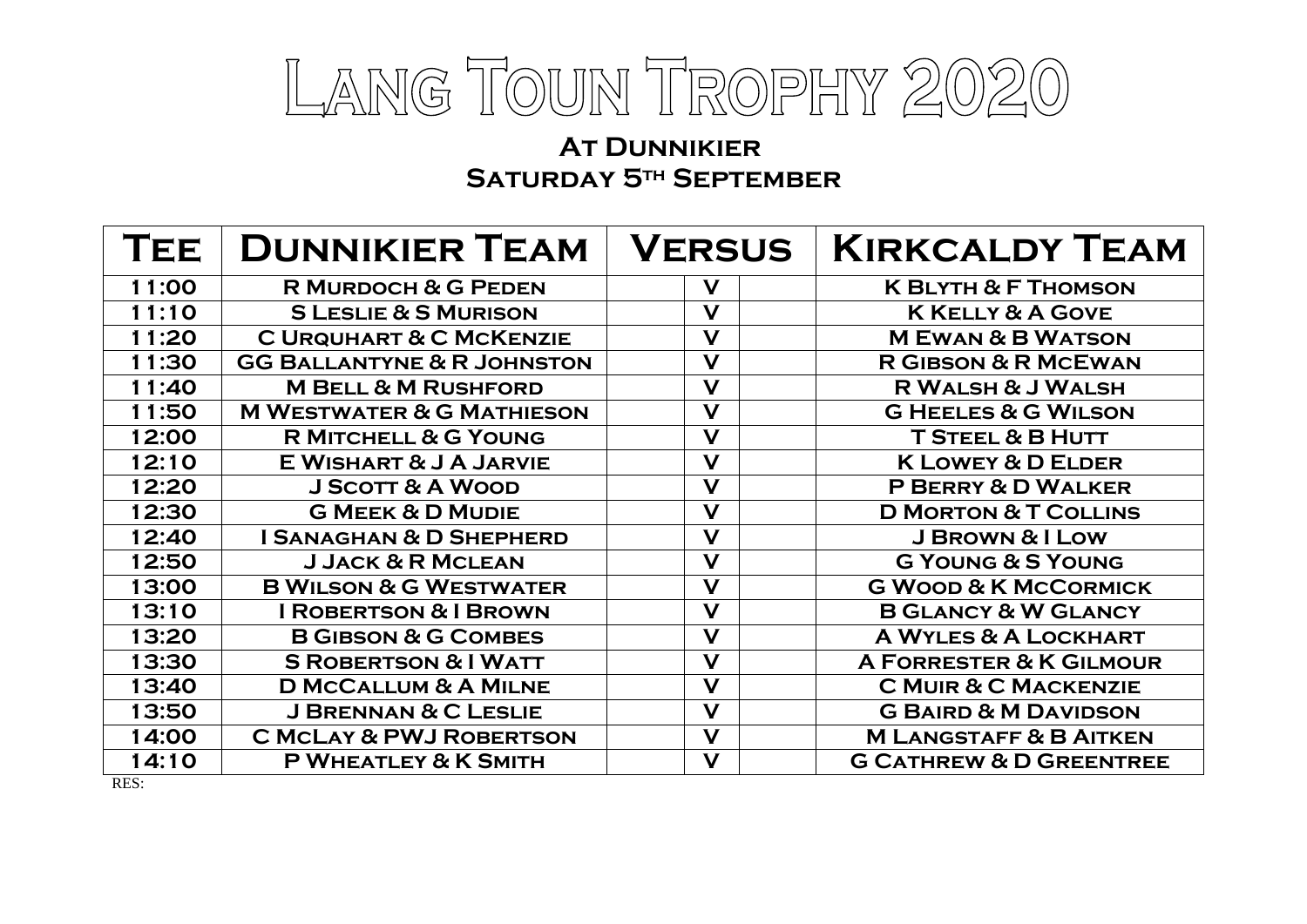

## **At Dunnikier Saturday 5th September**

| TEE <sup>'</sup> | <b>DUNNIKIER TEAM</b>                 | <b>VERSUS</b>           | <b>KIRKCALDY TEAM</b>              |
|------------------|---------------------------------------|-------------------------|------------------------------------|
| 11:00            | <b>R MURDOCH &amp; G PEDEN</b>        | $\mathbf V$             | <b>K BLYTH &amp; F THOMSON</b>     |
| 11:10            | <b>S LESLIE &amp; S MURISON</b>       | V                       | <b>K KELLY &amp; A GOVE</b>        |
| 11:20            | <b>C URQUHART &amp; C MCKENZIE</b>    | $\mathbf V$             | <b>MEWAN &amp; B WATSON</b>        |
| 11:30            | <b>GG BALLANTYNE &amp; R JOHNSTON</b> | $\mathbf V$             | <b>R GIBSON &amp; R MCEWAN</b>     |
| 11:40            | <b>M BELL &amp; M RUSHFORD</b>        | V                       | <b>R WALSH &amp; J WALSH</b>       |
| 11:50            | <b>M WESTWATER &amp; G MATHIESON</b>  | $\mathbf V$             | <b>G HEELES &amp; G WILSON</b>     |
| 12:00            | <b>R MITCHELL &amp; G YOUNG</b>       | V                       | <b>T STEEL &amp; B HUTT</b>        |
| 12:10            | E WISHART & J A JARVIE                | $\mathbf V$             | <b>K LOWEY &amp; D ELDER</b>       |
| 12:20            | <b>J SCOTT &amp; A WOOD</b>           | V                       | P BERRY & D WALKER                 |
| 12:30            | <b>G MEEK &amp; D MUDIE</b>           | $\mathbf V$             | <b>D MORTON &amp; T COLLINS</b>    |
| 12:40            | <b>I SANAGHAN &amp; D SHEPHERD</b>    | V                       | J BROWN & I LOW                    |
| 12:50            | <b>J JACK &amp; R MCLEAN</b>          | V                       | <b>G YOUNG &amp; S YOUNG</b>       |
| 13:00            | <b>B WILSON &amp; G WESTWATER</b>     | $\mathbf V$             | <b>G WOOD &amp; K MCCORMICK</b>    |
| 13:10            | <b>I ROBERTSON &amp; I BROWN</b>      | $\mathbf V$             | <b>B GLANCY &amp; W GLANCY</b>     |
| 13:20            | <b>B GIBSON &amp; G COMBES</b>        | V                       | <b>A WYLES &amp; A LOCKHART</b>    |
| 13:30            | <b>S ROBERTSON &amp; I WATT</b>       | $\mathbf V$             | A FORRESTER & K GILMOUR            |
| 13:40            | <b>D MCCALLUM &amp; A MILNE</b>       | $\mathbf V$             | <b>C MUIR &amp; C MACKENZIE</b>    |
| 13:50            | <b>J BRENNAN &amp; C LESLIE</b>       | $\overline{\mathsf{V}}$ | <b>G BAIRD &amp; M DAVIDSON</b>    |
| 14:00            | <b>C MCLAY &amp; PWJ ROBERTSON</b>    | $\mathbf V$             | <b>M LANGSTAFF &amp; B AITKEN</b>  |
| 14:10            | P WHEATLEY & K SMITH                  | V                       | <b>G CATHREW &amp; D GREENTREE</b> |

RES: